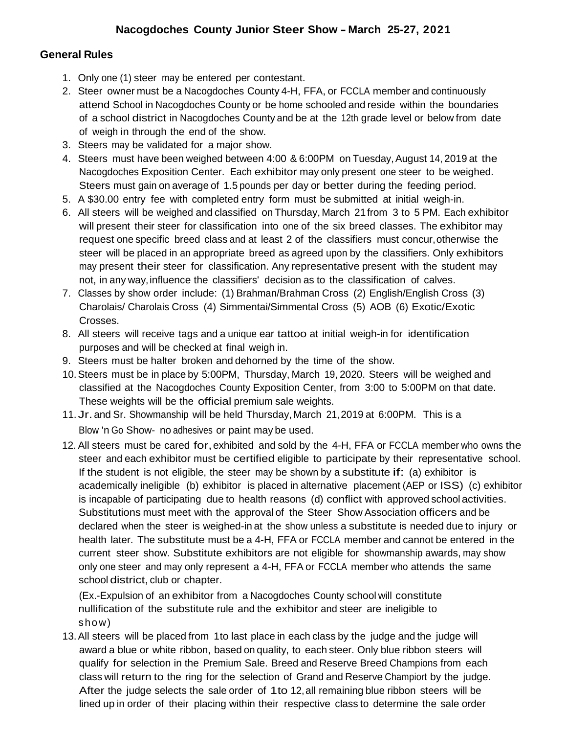## **General Rules**

- 1. Only one (1) steer may be entered per contestant.
- 2. Steer owner must be a Nacogdoches County 4-H, FFA, or FCCLA member and continuously attend School in Nacogdoches County or be home schooled and reside within the boundaries of a school district in Nacogdoches County and be at the 12th grade level or below from date of weigh in through the end of the show.
- 3. Steers may be validated for a major show.
- 4. Steers must have been weighed between 4:00 & 6:00PM on Tuesday,August 14, 2019 at the Nacogdoches Exposition Center. Each exhibitor may only present one steer to be weighed. Steers must gain on average of 1.5 pounds per day or better during the feeding period.
- 5. A \$30.00 entry fee with completed entry form must be submitted at initial weigh-in.
- 6. All steers will be weighed and classified on Thursday, March 21from 3 to 5 PM. Each exhibitor will present their steer for classification into one of the six breed classes. The exhibitor may request one specific breed class and at least 2 of the classifiers must concur,otherwise the steer will be placed in an appropriate breed as agreed upon by the classifiers. Only exhibitors may present their steer for classification. Any representative present with the student may not, in any way,influence the classifiers' decision as to the classification of calves.
- 7. Classes by show order include: (1) Brahman/Brahman Cross (2) English/English Cross (3) Charolais/ Charolais Cross (4) Simmentai/Simmental Cross (5) AOB (6) Exotic/Exotic Crosses.
- 8. All steers will receive tags and a unique ear tattoo at initial weigh-in for identification purposes and will be checked at final weigh in.
- 9. Steers must be halter broken and dehorned by the time of the show.
- 10.Steers must be in place by 5:00PM, Thursday, March 19, 2020. Steers will be weighed and classified at the Nacogdoches County Exposition Center, from 3:00 to 5:00PM on that date. These weights will be the official premium sale weights.
- 11.Jr.and Sr. Showmanship will be held Thursday,March 21,2019 at 6:00PM. This is a Blow 'n Go Show- no adhesives or paint may be used.
- 12. All steers must be cared for,exhibited and sold by the 4-H, FFA or FCCLA member who owns the steer and each exhibitor must be certified eligible to participate by their representative school. If the student is not eligible, the steer may be shown by <sup>a</sup> substitute if: (a) exhibitor is academically ineligible (b) exhibitor is placed in alternative placement (AEP or ISS) (c) exhibitor is incapable of participating due to health reasons (d) conflict with approved school activities. Substitutions must meet with the approval of the Steer Show Association officers and be declared when the steer is weighed-in at the show unless a substitute is needed due to injury or health later. The substitute must be a 4-H, FFA or FCCLA member and cannot be entered in the current steer show. Substitute exhibitors are not eligible for showmanship awards, may show only one steer and may only represent a 4-H, FFA or FCCLA member who attends the same school district, club or chapter.

(Ex.-Expulsion of an exhibitor from a Nacogdoches County school will constitute nullification of the substitute rule and the exhibitor and steer are ineligible to show)

13.All steers will be placed from 1to last place in each class by the judge and the judge will award a blue or white ribbon, based on quality, to each steer. Only blue ribbon steers will qualify for selection in the Premium Sale. Breed and Reserve Breed Champions from each class will return to the ring for the selection of Grand and Reserve Champiort by the judge. After the judge selects the sale order of 1to 12,all remaining blue ribbon steers will be lined up in order of their placing within their respective class to determine the sale order